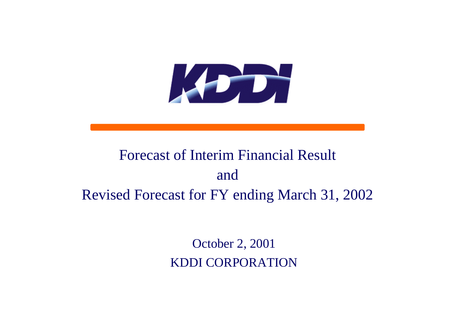

# Forecast of Interim Financial Resultand Revised Forecast for FY ending March 31, 2002

October 2, 2001 KDDI CORPORATION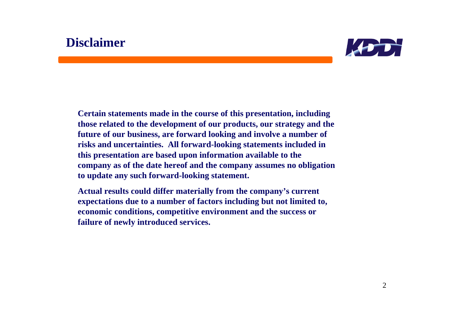## **Disclaimer**



**Certain statements made in the course of this presentation, including those related to the development of our products, our strategy and the future of our business, are forward looking and involve a number of risks and uncertainties. All forward-looking statements included in this presentation are based upon information available to the company as of the date hereof and the company assumes no obligation to update any such forward-looking statement.**

**Actual results could differ materially from the company's current expectations due to a number of factors including but not limited to, economic conditions, competitive environment and the success or failure of newly introduced services.**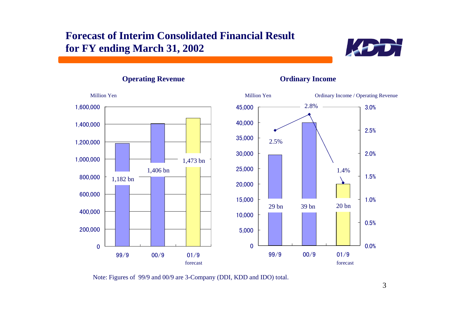## **Forecast of Interim Consolidated Financial Result for FY ending March 31, 2002**



**Operating Revenue Ordinary Income**



Note: Figures of 99/9 and 00/9 are 3-Company (DDI, KDD and IDO) total.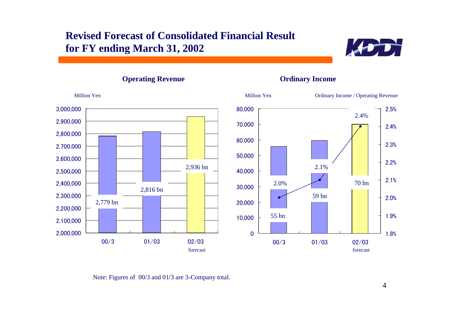## **Revised Forecast of Consolidated Financial Result for FY ending March 31, 2002**





**Operating Revenue Ordinary Income**

Note: Figures of 00/3 and 01/3 are 3-Company total.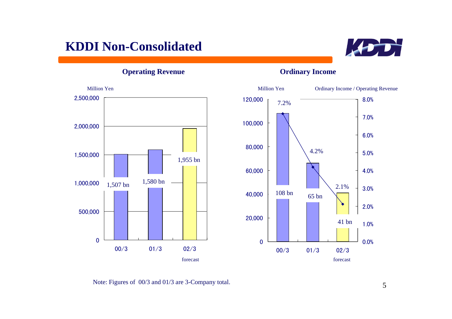## **KDDI Non-Consolidated**



**Operating Revenue Ordinary Income**



Note: Figures of 00/3 and 01/3 are 3-Company total.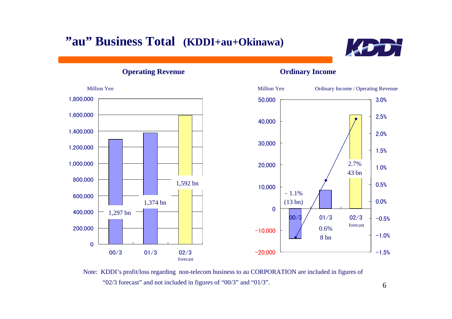## **"au" Business Total (KDDI+au+Okinawa)**



**Operating Revenue Ordinary Income**



 Note: KDDI's profit/loss regarding non-telecom business to au CORPORATION are included in figures of "02/3 forecast" and not included in figures of "00/3" and "01/3".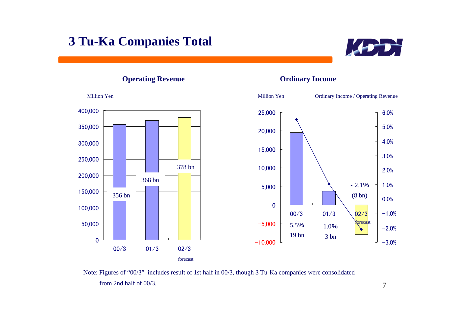## **3 Tu-Ka Companies Total**



### **Operating Revenue Ordinary Income**



 Note: Figures of "00/3" includes result of 1st half in 00/3, though 3 Tu-Ka companies were consolidated from 2nd half of 00/3.

7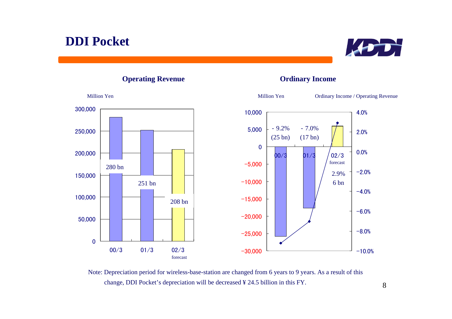



### **Operating Revenue Ordinary Income**



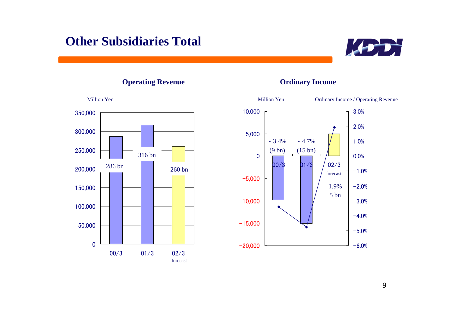## **Other Subsidiaries Total**



**Operating Revenue Ordinary Income**





9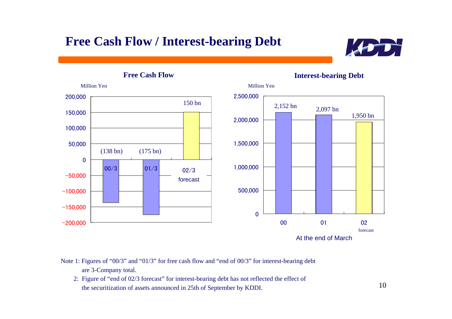## **Free Cash Flow / Interest-bearing Debt**



**Free Cash Flow**

**Interest-bearing Debt**



 Note 1: Figures of "00/3" and "01/3" for free cash flow and "end of 00/3" for interest-bearing debt are 3-Company total.

 2: Figure of "end of 02/3 forecast" for interest-bearing debt has not reflected the effect of the securitization of assets announced in 25th of September by KDDI.

10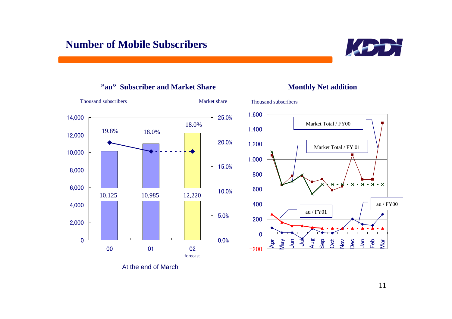



### **"au" Subscriber and Market Share**



**Monthly Net addition**

### At the end of March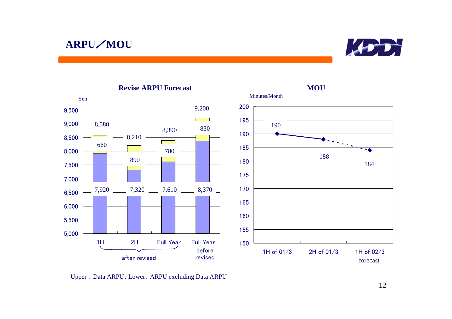## **ARPU**/**MOU**



**MOU**



### **Revise ARPU Forecast**

Upper : Data ARPU、Lower: ARPU excluding Data ARPU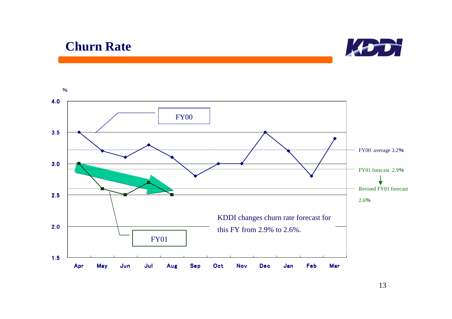